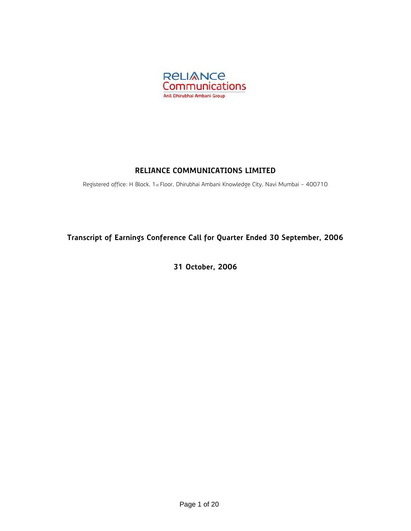

## **RELIANCE COMMUNICATIONS LIMITED**

Registered office: H Block, 1st Floor, Dhirubhai Ambani Knowledge City, Navi Mumbai - 400710

# **Transcript of Earnings Conference Call for Quarter Ended 30 September, 2006**

**31 October, 2006**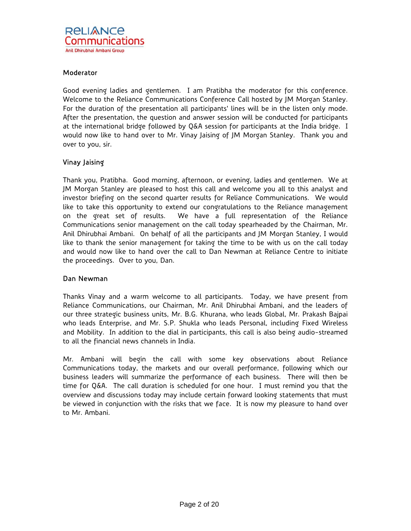## Moderator

Good evening ladies and gentlemen. I am Pratibha the moderator for this conference. Welcome to the Reliance Communications Conference Call hosted by JM Morgan Stanley. For the duration of the presentation all participants' lines will be in the listen only mode. After the presentation, the question and answer session will be conducted for participants at the international bridge followed by Q&A session for participants at the India bridge. I would now like to hand over to Mr. Vinay Jaising of JM Morgan Stanley. Thank you and over to you, sir.

## Vinay Jaising

Thank you, Pratibha. Good morning, afternoon, or evening, ladies and gentlemen. We at JM Morgan Stanley are pleased to host this call and welcome you all to this analyst and investor briefing on the second quarter results for Reliance Communications. We would like to take this opportunity to extend our congratulations to the Reliance management on the great set of results. We have a full representation of the Reliance Communications senior management on the call today spearheaded by the Chairman, Mr. Anil Dhirubhai Ambani. On behalf of all the participants and JM Morgan Stanley, I would like to thank the senior management for taking the time to be with us on the call today and would now like to hand over the call to Dan Newman at Reliance Centre to initiate the proceedings. Over to you, Dan.

## Dan Newman

Thanks Vinay and a warm welcome to all participants. Today, we have present from Reliance Communications, our Chairman, Mr. Anil Dhirubhai Ambani, and the leaders of our three strategic business units, Mr. B.G. Khurana, who leads Global, Mr. Prakash Bajpai who leads Enterprise, and Mr. S.P. Shukla who leads Personal, including Fixed Wireless and Mobility. In addition to the dial in participants, this call is also being audio-streamed to all the financial news channels in India.

Mr. Ambani will begin the call with some key observations about Reliance Communications today, the markets and our overall performance, following which our business leaders will summarize the performance of each business. There will then be time for Q&A. The call duration is scheduled for one hour. I must remind you that the overview and discussions today may include certain forward looking statements that must be viewed in conjunction with the risks that we face. It is now my pleasure to hand over to Mr. Ambani.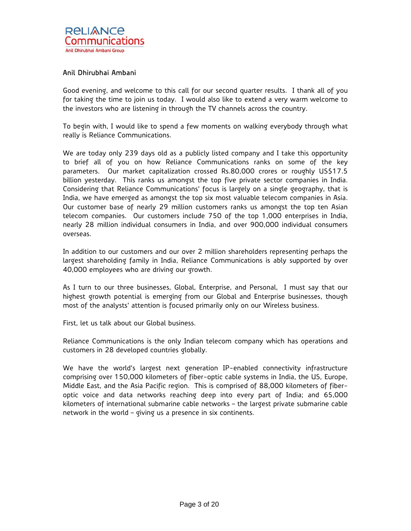## Anil Dhirubhai Ambani

Good evening, and welcome to this call for our second quarter results. I thank all of you for taking the time to join us today. I would also like to extend a very warm welcome to the investors who are listening in through the TV channels across the country.

To begin with, I would like to spend a few moments on walking everybody through what really is Reliance Communications.

We are today only 239 days old as a publicly listed company and I take this opportunity to brief all of you on how Reliance Communications ranks on some of the key parameters. Our market capitalization crossed Rs.80,000 crores or roughly US\$17.5 billion yesterday. This ranks us amongst the top five private sector companies in India. Considering that Reliance Communications' focus is largely on a single geography, that is India, we have emerged as amongst the top six most valuable telecom companies in Asia. Our customer base of nearly 29 million customers ranks us amongst the top ten Asian telecom companies. Our customers include 750 of the top 1,000 enterprises in India, nearly 28 million individual consumers in India, and over 900,000 individual consumers overseas.

In addition to our customers and our over 2 million shareholders representing perhaps the largest shareholding family in India, Reliance Communications is ably supported by over 40,000 employees who are driving our growth.

As I turn to our three businesses, Global, Enterprise, and Personal, I must say that our highest growth potential is emerging from our Global and Enterprise businesses, though most of the analysts' attention is focused primarily only on our Wireless business.

First, let us talk about our Global business.

Reliance Communications is the only Indian telecom company which has operations and customers in 28 developed countries globally.

We have the world's largest next generation IP-enabled connectivity infrastructure comprising over 150,000 kilometers of fiber-optic cable systems in India, the US, Europe, Middle East, and the Asia Pacific region. This is comprised of 88,000 kilometers of fiberoptic voice and data networks reaching deep into every part of India; and 65,000 kilometers of international submarine cable networks – the largest private submarine cable network in the world – giving us a presence in six continents.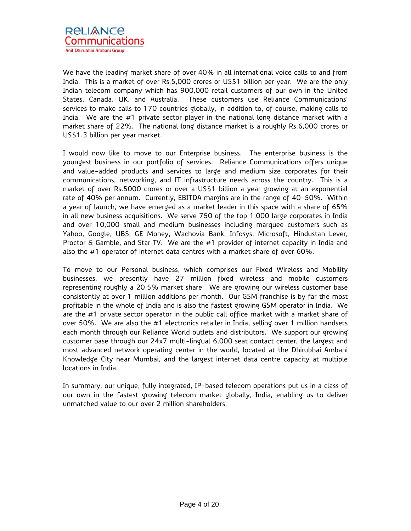We have the leading market share of over 40% in all international voice calls to and from India. This is a market of over Rs.5,000 crores or US\$1 billion per year. We are the only Indian telecom company which has 900,000 retail customers of our own in the United States, Canada, UK, and Australia. These customers use Reliance Communications' services to make calls to 170 countries globally, in addition to, of course, making calls to India. We are the #1 private sector player in the national long distance market with a market share of 22%. The national long distance market is a roughly Rs.6,000 crores or US\$1.3 billion per year market.

I would now like to move to our Enterprise business. The enterprise business is the youngest business in our portfolio of services. Reliance Communications offers unique and value-added products and services to large and medium size corporates for their communications, networking, and IT infrastructure needs across the country. This is a market of over Rs.5000 crores or over a US\$1 billion a year growing at an exponential rate of 40% per annum. Currently, EBITDA margins are in the range of 40-50%. Within a year of launch, we have emerged as a market leader in this space with a share of 65% in all new business acquisitions. We serve 750 of the top 1,000 large corporates in India and over 10,000 small and medium businesses including marquee customers such as Yahoo, Google, UBS, GE Money, Wachovia Bank, Infosys, Microsoft, Hindustan Lever, Proctor & Gamble, and Star TV. We are the #1 provider of internet capacity in India and also the #1 operator of internet data centres with a market share of over 60%.

To move to our Personal business, which comprises our Fixed Wireless and Mobility businesses, we presently have 27 million fixed wireless and mobile customers representing roughly a 20.5% market share. We are growing our wireless customer base consistently at over 1 million additions per month. Our GSM franchise is by far the most profitable in the whole of India and is also the fastest growing GSM operator in India. We are the #1 private sector operator in the public call office market with a market share of over 50%. We are also the #1 electronics retailer in India, selling over 1 million handsets each month through our Reliance World outlets and distributors. We support our growing customer base through our 24x7 multi-lingual 6,000 seat contact center, the largest and most advanced network operating center in the world, located at the Dhirubhai Ambani Knowledge City near Mumbai, and the largest internet data centre capacity at multiple locations in India.

In summary, our unique, fully integrated, IP-based telecom operations put us in a class of our own in the fastest growing telecom market globally, India, enabling us to deliver unmatched value to our over 2 million shareholders.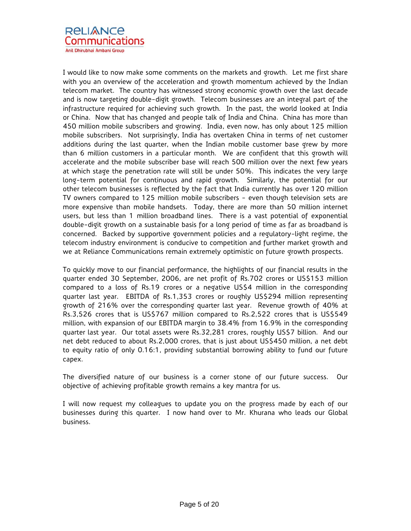I would like to now make some comments on the markets and growth. Let me first share with you an overview of the acceleration and growth momentum achieved by the Indian telecom market. The country has witnessed strong economic growth over the last decade and is now targeting double-digit growth. Telecom businesses are an integral part of the infrastructure required for achieving such growth. In the past, the world looked at India or China. Now that has changed and people talk of India and China. China has more than 450 million mobile subscribers and growing. India, even now, has only about 125 million mobile subscribers. Not surprisingly, India has overtaken China in terms of net customer additions during the last quarter, when the Indian mobile customer base grew by more than 6 million customers in a particular month. We are confident that this growth will accelerate and the mobile subscriber base will reach 500 million over the next few years at which stage the penetration rate will still be under 50%. This indicates the very large long-term potential for continuous and rapid growth. Similarly, the potential for our other telecom businesses is reflected by the fact that India currently has over 120 million TV owners compared to 125 million mobile subscribers - even though television sets are more expensive than mobile handsets. Today, there are more than 50 million internet users, but less than 1 million broadband lines. There is a vast potential of exponential double-digit growth on a sustainable basis for a long period of time as far as broadband is concerned. Backed by supportive government policies and a regulatory-light regime, the telecom industry environment is conducive to competition and further market growth and we at Reliance Communications remain extremely optimistic on future growth prospects.

To quickly move to our financial performance, the highlights of our financial results in the quarter ended 30 September, 2006, are net profit of Rs.702 crores or US\$153 million compared to a loss of Rs.19 crores or a negative US\$4 million in the corresponding quarter last year. EBITDA of Rs.1,353 crores or roughly US\$294 million representing growth of 216% over the corresponding quarter last year. Revenue growth of 40% at Rs.3,526 crores that is US\$767 million compared to Rs.2,522 crores that is US\$549 million, with expansion of our EBITDA margin to 38.4% from 16.9% in the corresponding quarter last year. Our total assets were Rs.32,281 crores, roughly US\$7 billion. And our net debt reduced to about Rs.2,000 crores, that is just about US\$450 million, a net debt to equity ratio of only 0.16:1, providing substantial borrowing ability to fund our future capex.

The diversified nature of our business is a corner stone of our future success. Our objective of achieving profitable growth remains a key mantra for us.

I will now request my colleagues to update you on the progress made by each of our businesses during this quarter. I now hand over to Mr. Khurana who leads our Global business.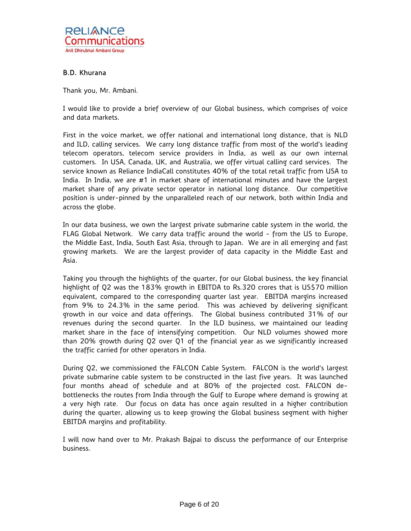

## B.D. Khurana

Thank you, Mr. Ambani.

I would like to provide a brief overview of our Global business, which comprises of voice and data markets.

First in the voice market, we offer national and international long distance, that is NLD and ILD, calling services. We carry long distance traffic from most of the world's leading telecom operators, telecom service providers in India, as well as our own internal customers. In USA, Canada, UK, and Australia, we offer virtual calling card services. The service known as Reliance IndiaCall constitutes 40% of the total retail traffic from USA to India. In India, we are #1 in market share of international minutes and have the largest market share of any private sector operator in national long distance. Our competitive position is under-pinned by the unparalleled reach of our network, both within India and across the globe.

In our data business, we own the largest private submarine cable system in the world, the FLAG Global Network. We carry data traffic around the world - from the US to Europe, the Middle East, India, South East Asia, through to Japan. We are in all emerging and fast growing markets. We are the largest provider of data capacity in the Middle East and Asia.

Taking you through the highlights of the quarter, for our Global business, the key financial highlight of Q2 was the 183% growth in EBITDA to Rs.320 crores that is US\$70 million equivalent, compared to the corresponding quarter last year. EBITDA margins increased from 9% to 24.3% in the same period. This was achieved by delivering significant growth in our voice and data offerings. The Global business contributed 31% of our revenues during the second quarter. In the ILD business, we maintained our leading market share in the face of intensifying competition. Our NLD volumes showed more than 20% growth during Q2 over Q1 of the financial year as we significantly increased the traffic carried for other operators in India.

During Q2, we commissioned the FALCON Cable System. FALCON is the world's largest private submarine cable system to be constructed in the last five years. It was launched four months ahead of schedule and at 80% of the projected cost. FALCON debottlenecks the routes from India through the Gulf to Europe where demand is growing at a very high rate. Our focus on data has once again resulted in a higher contribution during the quarter, allowing us to keep growing the Global business segment with higher EBITDA margins and profitability.

I will now hand over to Mr. Prakash Bajpai to discuss the performance of our Enterprise business.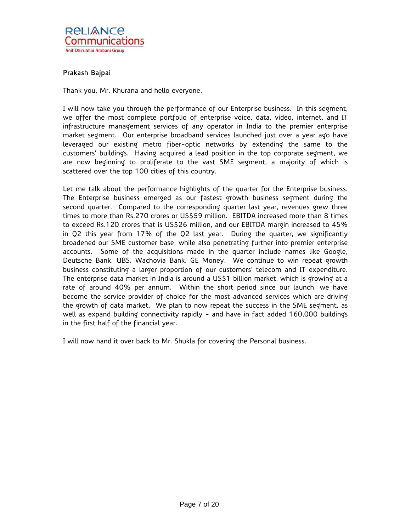

## Prakash Bajpai

Thank you, Mr. Khurana and hello everyone.

I will now take you through the performance of our Enterprise business. In this segment, we offer the most complete portfolio of enterprise voice, data, video, internet, and IT infrastructure management services of any operator in India to the premier enterprise market segment. Our enterprise broadband services launched just over a year ago have leveraged our existing metro fiber-optic networks by extending the same to the customers' buildings. Having acquired a lead position in the top corporate segment, we are now beginning to proliferate to the vast SME segment, a majority of which is scattered over the top 100 cities of this country.

Let me talk about the performance highlights of the quarter for the Enterprise business. The Enterprise business emerged as our fastest growth business segment during the second quarter. Compared to the corresponding quarter last year, revenues grew three times to more than Rs.270 crores or US\$59 million. EBITDA increased more than 8 times to exceed Rs.120 crores that is US\$26 million, and our EBITDA margin increased to 45% in Q2 this year from 17% of the Q2 last year. During the quarter, we significantly broadened our SME customer base, while also penetrating further into premier enterprise accounts. Some of the acquisitions made in the quarter include names like Google, Deutsche Bank, UBS, Wachovia Bank, GE Money. We continue to win repeat growth business constituting a larger proportion of our customers' telecom and IT expenditure. The enterprise data market in India is around a US\$1 billion market, which is growing at a rate of around 40% per annum. Within the short period since our launch, we have become the service provider of choice for the most advanced services which are driving the growth of data market. We plan to now repeat the success in the SME segment, as well as expand building connectivity rapidly - and have in fact added 160,000 buildings in the first half of the financial year.

I will now hand it over back to Mr. Shukla for covering the Personal business.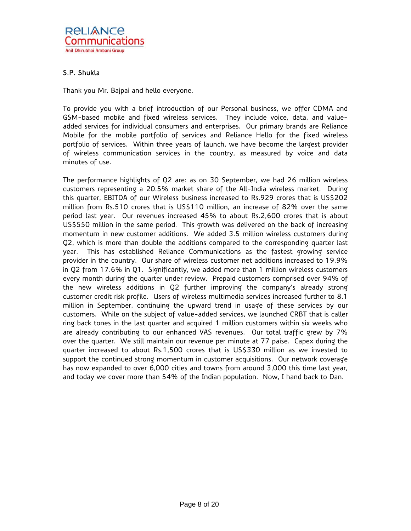## S.P. Shukla

Thank you Mr. Bajpai and hello everyone.

To provide you with a brief introduction of our Personal business, we offer CDMA and GSM-based mobile and fixed wireless services. They include voice, data, and valueadded services for individual consumers and enterprises. Our primary brands are Reliance Mobile for the mobile portfolio of services and Reliance Hello for the fixed wireless portfolio of services. Within three years of launch, we have become the largest provider of wireless communication services in the country, as measured by voice and data minutes of use.

The performance highlights of Q2 are: as on 30 September, we had 26 million wireless customers representing a 20.5% market share of the All-India wireless market. During this quarter, EBITDA of our Wireless business increased to Rs.929 crores that is US\$202 million from Rs.510 crores that is US\$110 million, an increase of 82% over the same period last year. Our revenues increased 45% to about Rs.2,600 crores that is about US\$550 million in the same period. This growth was delivered on the back of increasing momentum in new customer additions. We added 3.5 million wireless customers during Q2, which is more than double the additions compared to the corresponding quarter last year. This has established Reliance Communications as the fastest growing service provider in the country. Our share of wireless customer net additions increased to 19.9% in Q2 from 17.6% in Q1. Significantly, we added more than 1 million wireless customers every month during the quarter under review. Prepaid customers comprised over 94% of the new wireless additions in Q2 further improving the company's already strong customer credit risk profile. Users of wireless multimedia services increased further to 8.1 million in September, continuing the upward trend in usage of these services by our customers. While on the subject of value-added services, we launched CRBT that is caller ring back tones in the last quarter and acquired 1 million customers within six weeks who are already contributing to our enhanced VAS revenues. Our total traffic grew by 7% over the quarter. We still maintain our revenue per minute at 77 paise. Capex during the quarter increased to about Rs.1,500 crores that is US\$330 million as we invested to support the continued strong momentum in customer acquisitions. Our network coverage has now expanded to over 6,000 cities and towns from around 3,000 this time last year, and today we cover more than 54% of the Indian population. Now, I hand back to Dan.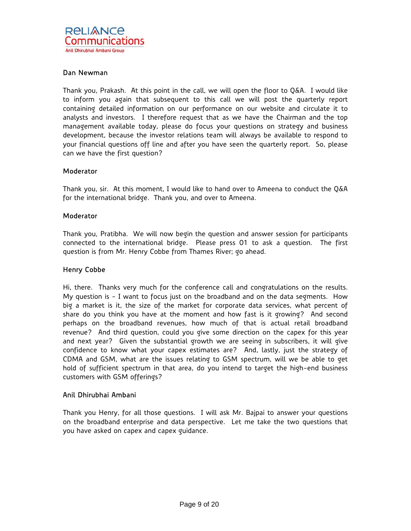## Dan Newman

Thank you, Prakash. At this point in the call, we will open the floor to Q&A. I would like to inform you again that subsequent to this call we will post the quarterly report containing detailed information on our performance on our website and circulate it to analysts and investors. I therefore request that as we have the Chairman and the top management available today, please do focus your questions on strategy and business development, because the investor relations team will always be available to respond to your financial questions off line and after you have seen the quarterly report. So, please can we have the first question?

## **Moderator**

Thank you, sir. At this moment, I would like to hand over to Ameena to conduct the Q&A for the international bridge. Thank you, and over to Ameena.

## **Moderator**

Thank you, Pratibha. We will now begin the question and answer session for participants connected to the international bridge. Please press 01 to ask a question. The first question is from Mr. Henry Cobbe from Thames River; go ahead.

## Henry Cobbe

Hi, there. Thanks very much for the conference call and congratulations on the results. My question is - I want to focus just on the broadband and on the data segments. How big a market is it, the size of the market for corporate data services, what percent of share do you think you have at the moment and how fast is it growing? And second perhaps on the broadband revenues, how much of that is actual retail broadband revenue? And third question, could you give some direction on the capex for this year and next year? Given the substantial growth we are seeing in subscribers, it will give confidence to know what your capex estimates are? And, lastly, just the strategy of CDMA and GSM, what are the issues relating to GSM spectrum, will we be able to get hold of sufficient spectrum in that area, do you intend to target the high-end business customers with GSM offerings?

## Anil Dhirubhai Ambani

Thank you Henry, for all those questions. I will ask Mr. Bajpai to answer your questions on the broadband enterprise and data perspective. Let me take the two questions that you have asked on capex and capex guidance.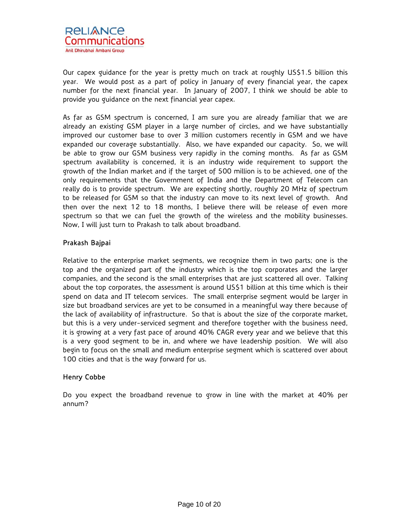

Our capex guidance for the year is pretty much on track at roughly US\$1.5 billion this year. We would post as a part of policy in January of every financial year, the capex number for the next financial year. In January of 2007, I think we should be able to provide you guidance on the next financial year capex.

As far as GSM spectrum is concerned, I am sure you are already familiar that we are already an existing GSM player in a large number of circles, and we have substantially improved our customer base to over 3 million customers recently in GSM and we have expanded our coverage substantially. Also, we have expanded our capacity. So, we will be able to grow our GSM business very rapidly in the coming months. As far as GSM spectrum availability is concerned, it is an industry wide requirement to support the growth of the Indian market and if the target of 500 million is to be achieved, one of the only requirements that the Government of India and the Department of Telecom can really do is to provide spectrum. We are expecting shortly, roughly 20 MHz of spectrum to be released for GSM so that the industry can move to its next level of growth. And then over the next 12 to 18 months, I believe there will be release of even more spectrum so that we can fuel the growth of the wireless and the mobility businesses. Now, I will just turn to Prakash to talk about broadband.

## Prakash Bajpai

Relative to the enterprise market segments, we recognize them in two parts; one is the top and the organized part of the industry which is the top corporates and the larger companies, and the second is the small enterprises that are just scattered all over. Talking about the top corporates, the assessment is around US\$1 billion at this time which is their spend on data and IT telecom services. The small enterprise segment would be larger in size but broadband services are yet to be consumed in a meaningful way there because of the lack of availability of infrastructure. So that is about the size of the corporate market, but this is a very under-serviced segment and therefore together with the business need, it is growing at a very fast pace of around 40% CAGR every year and we believe that this is a very good segment to be in, and where we have leadership position. We will also begin to focus on the small and medium enterprise segment which is scattered over about 100 cities and that is the way forward for us.

## Henry Cobbe

Do you expect the broadband revenue to grow in line with the market at 40% per annum?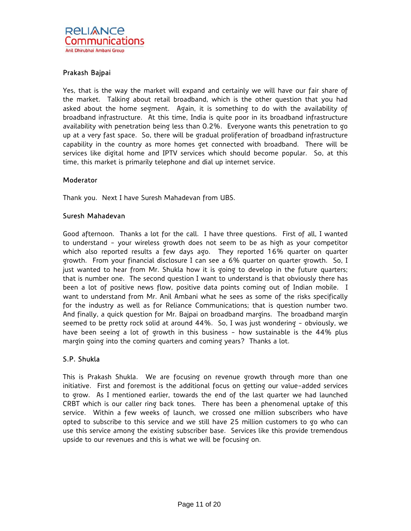## Prakash Bajpai

Yes, that is the way the market will expand and certainly we will have our fair share of the market. Talking about retail broadband, which is the other question that you had asked about the home segment. Again, it is something to do with the availability of broadband infrastructure. At this time, India is quite poor in its broadband infrastructure availability with penetration being less than 0.2%. Everyone wants this penetration to go up at a very fast space. So, there will be gradual proliferation of broadband infrastructure capability in the country as more homes get connected with broadband. There will be services like digital home and IPTV services which should become popular. So, at this time, this market is primarily telephone and dial up internet service.

## Moderator

Thank you. Next I have Suresh Mahadevan from UBS.

## Suresh Mahadevan

Good afternoon. Thanks a lot for the call. I have three questions. First of all, I wanted to understand - your wireless growth does not seem to be as high as your competitor which also reported results a few days ago. They reported 16% quarter on quarter growth. From your financial disclosure I can see a 6% quarter on quarter growth. So, I just wanted to hear from Mr. Shukla how it is going to develop in the future quarters; that is number one. The second question I want to understand is that obviously there has been a lot of positive news flow, positive data points coming out of Indian mobile. I want to understand from Mr. Anil Ambani what he sees as some of the risks specifically for the industry as well as for Reliance Communications; that is question number two. And finally, a quick question for Mr. Bajpai on broadband margins. The broadband margin seemed to be pretty rock solid at around 44%. So, I was just wondering - obviously, we have been seeing a lot of growth in this business - how sustainable is the 44% plus margin going into the coming quarters and coming years? Thanks a lot.

## S.P. Shukla

This is Prakash Shukla. We are focusing on revenue growth through more than one initiative. First and foremost is the additional focus on getting our value-added services to grow. As I mentioned earlier, towards the end of the last quarter we had launched CRBT which is our caller ring back tones. There has been a phenomenal uptake of this service. Within a few weeks of launch, we crossed one million subscribers who have opted to subscribe to this service and we still have 25 million customers to go who can use this service among the existing subscriber base. Services like this provide tremendous upside to our revenues and this is what we will be focusing on.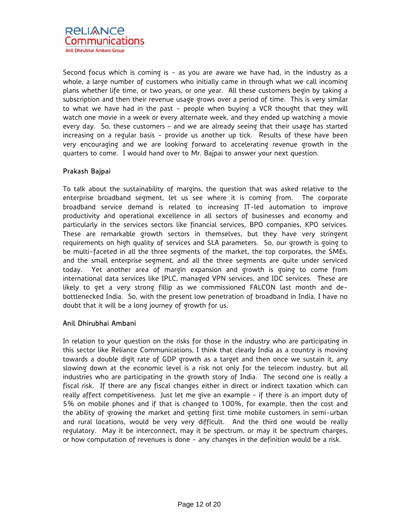

Second focus which is coming is - as you are aware we have had, in the industry as a whole, a large number of customers who initially came in through what we call incoming plans whether life time, or two years, or one year. All these customers begin by taking a subscription and then their revenue usage grows over a period of time. This is very similar to what we have had in the past - people when buying a VCR thought that they will watch one movie in a week or every alternate week, and they ended up watching a movie every day. So, these customers – and we are already seeing that their usage has started increasing on a regular basis - provide us another up tick. Results of these have been very encouraging and we are looking forward to accelerating revenue growth in the quarters to come. I would hand over to Mr. Bajpai to answer your next question.

## Prakash Bajpai

To talk about the sustainability of margins, the question that was asked relative to the enterprise broadband segment, let us see where it is coming from. The corporate broadband service demand is related to increasing IT-led automation to improve productivity and operational excellence in all sectors of businesses and economy and particularly in the services sectors like financial services, BPO companies, KPO services. These are remarkable growth sectors in themselves, but they have very stringent requirements on high quality of services and SLA parameters. So, our growth is going to be multi-faceted in all the three segments of the market, the top corporates, the SMEs, and the small enterprise segment, and all the three segments are quite under serviced today. Yet another area of margin expansion and growth is going to come from international data services like IPLC, managed VPN services, and IDC services. These are likely to get a very strong fillip as we commissioned FALCON last month and debottlenecked India. So, with the present low penetration of broadband in India, I have no doubt that it will be a long journey of growth for us.

## Anil Dhirubhai Ambani

In relation to your question on the risks for those in the industry who are participating in this sector like Reliance Communications, I think that clearly India as a country is moving towards a double digit rate of GDP growth as a target and then once we sustain it, any slowing down at the economic level is a risk not only for the telecom industry, but all industries who are participating in the growth story of India. The second one is really a fiscal risk. If there are any fiscal changes either in direct or indirect taxation which can really affect competitiveness. Just let me give an example - if there is an import duty of 5% on mobile phones and if that is changed to 100%, for example, then the cost and the ability of growing the market and getting first time mobile customers in semi-urban and rural locations, would be very very difficult. And the third one would be really regulatory. May it be interconnect, may it be spectrum, or may it be spectrum charges, or how computation of revenues is done - any changes in the definition would be a risk.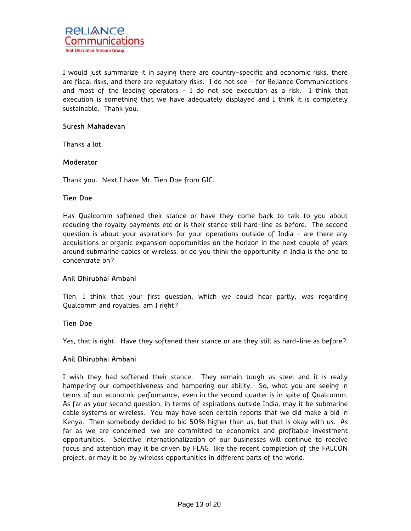I would just summarize it in saying there are country-specific and economic risks, there are fiscal risks, and there are regulatory risks. I do not see - for Reliance Communications and most of the leading operators - I do not see execution as a risk. I think that execution is something that we have adequately displayed and I think it is completely sustainable. Thank you.

## Suresh Mahadevan

Thanks a lot.

## **Moderator**

Thank you. Next I have Mr. Tien Doe from GIC.

## Tien Doe

Has Qualcomm softened their stance or have they come back to talk to you about reducing the royalty payments etc or is their stance still hard-line as before. The second question is about your aspirations for your operations outside of India – are there any acquisitions or organic expansion opportunities on the horizon in the next couple of years around submarine cables or wireless, or do you think the opportunity in India is the one to concentrate on?

## Anil Dhirubhai Ambani

Tien, I think that your first question, which we could hear partly, was regarding Qualcomm and royalties, am I right?

## Tien Doe

Yes, that is right. Have they softened their stance or are they still as hard-line as before?

## Anil Dhirubhai Ambani

I wish they had softened their stance. They remain tough as steel and it is really hampering our competitiveness and hampering our ability. So, what you are seeing in terms of our economic performance, even in the second quarter is in spite of Qualcomm. As far as your second question, in terms of aspirations outside India, may it be submarine cable systems or wireless. You may have seen certain reports that we did make a bid in Kenya. Then somebody decided to bid 50% higher than us, but that is okay with us. As far as we are concerned, we are committed to economics and profitable investment opportunities. Selective internationalization of our businesses will continue to receive focus and attention may it be driven by FLAG, like the recent completion of the FALCON project, or may it be by wireless opportunities in different parts of the world.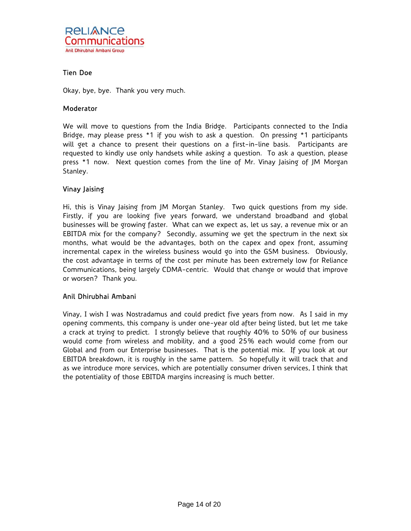

## Tien Doe

Okay, bye, bye. Thank you very much.

### **Moderator**

We will move to questions from the India Bridge. Participants connected to the India Bridge, may please press \*1 if you wish to ask a question. On pressing \*1 participants will get a chance to present their questions on a first-in-line basis. Participants are requested to kindly use only handsets while asking a question. To ask a question, please press \*1 now. Next question comes from the line of Mr. Vinay Jaising of JM Morgan Stanley.

## Vinay Jaising

Hi, this is Vinay Jaising from JM Morgan Stanley. Two quick questions from my side. Firstly, if you are looking five years forward, we understand broadband and global businesses will be growing faster. What can we expect as, let us say, a revenue mix or an EBITDA mix for the company? Secondly, assuming we get the spectrum in the next six months, what would be the advantages, both on the capex and opex front, assuming incremental capex in the wireless business would go into the GSM business. Obviously, the cost advantage in terms of the cost per minute has been extremely low for Reliance Communications, being largely CDMA-centric. Would that change or would that improve or worsen? Thank you.

## Anil Dhirubhai Ambani

Vinay, I wish I was Nostradamus and could predict five years from now. As I said in my opening comments, this company is under one-year old after being listed, but let me take a crack at trying to predict. I strongly believe that roughly 40% to 50% of our business would come from wireless and mobility, and a good 25% each would come from our Global and from our Enterprise businesses. That is the potential mix. If you look at our EBITDA breakdown, it is roughly in the same pattern. So hopefully it will track that and as we introduce more services, which are potentially consumer driven services, I think that the potentiality of those EBITDA margins increasing is much better.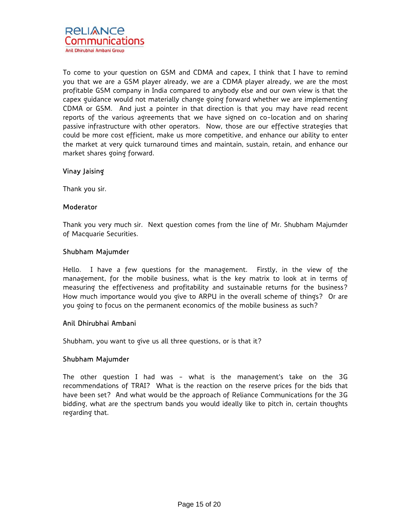

To come to your question on GSM and CDMA and capex, I think that I have to remind you that we are a GSM player already, we are a CDMA player already, we are the most profitable GSM company in India compared to anybody else and our own view is that the capex guidance would not materially change going forward whether we are implementing CDMA or GSM. And just a pointer in that direction is that you may have read recent reports of the various agreements that we have signed on co-location and on sharing passive infrastructure with other operators. Now, those are our effective strategies that could be more cost efficient, make us more competitive, and enhance our ability to enter the market at very quick turnaround times and maintain, sustain, retain, and enhance our market shares going forward.

## Vinay Jaising

Thank you sir.

#### **Moderator**

Thank you very much sir. Next question comes from the line of Mr. Shubham Majumder of Macquarie Securities.

#### Shubham Majumder

Hello. I have a few questions for the management. Firstly, in the view of the management, for the mobile business, what is the key matrix to look at in terms of measuring the effectiveness and profitability and sustainable returns for the business? How much importance would you give to ARPU in the overall scheme of things? Or are you going to focus on the permanent economics of the mobile business as such?

## Anil Dhirubhai Ambani

Shubham, you want to give us all three questions, or is that it?

#### Shubham Majumder

The other question I had was - what is the management's take on the 3G recommendations of TRAI? What is the reaction on the reserve prices for the bids that have been set? And what would be the approach of Reliance Communications for the 3G bidding, what are the spectrum bands you would ideally like to pitch in, certain thoughts regarding that.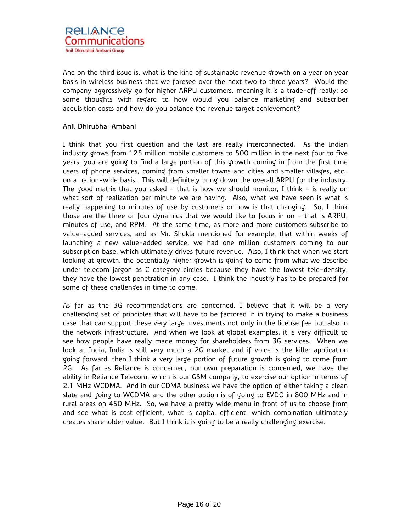And on the third issue is, what is the kind of sustainable revenue growth on a year on year basis in wireless business that we foresee over the next two to three years? Would the company aggressively go for higher ARPU customers, meaning it is a trade-off really; so some thoughts with regard to how would you balance marketing and subscriber acquisition costs and how do you balance the revenue target achievement?

## Anil Dhirubhai Ambani

I think that you first question and the last are really interconnected. As the Indian industry grows from 125 million mobile customers to 500 million in the next four to five years, you are going to find a large portion of this growth coming in from the first time users of phone services, coming from smaller towns and cities and smaller villages, etc., on a nation-wide basis. This will definitely bring down the overall ARPU for the industry. The good matrix that you asked - that is how we should monitor, I think - is really on what sort of realization per minute we are having. Also, what we have seen is what is really happening to minutes of use by customers or how is that changing. So, I think those are the three or four dynamics that we would like to focus in on - that is ARPU, minutes of use, and RPM. At the same time, as more and more customers subscribe to value-added services, and as Mr. Shukla mentioned for example, that within weeks of launching a new value-added service, we had one million customers coming to our subscription base, which ultimately drives future revenue. Also, I think that when we start looking at growth, the potentially higher growth is going to come from what we describe under telecom jargon as C category circles because they have the lowest tele-density, they have the lowest penetration in any case. I think the industry has to be prepared for some of these challenges in time to come.

As far as the 3G recommendations are concerned, I believe that it will be a very challenging set of principles that will have to be factored in in trying to make a business case that can support these very large investments not only in the license fee but also in the network infrastructure. And when we look at global examples, it is very difficult to see how people have really made money for shareholders from 3G services. When we look at India, India is still very much a 2G market and if voice is the killer application going forward, then I think a very large portion of future growth is going to come from 2G. As far as Reliance is concerned, our own preparation is concerned, we have the ability in Reliance Telecom, which is our GSM company, to exercise our option in terms of 2.1 MHz WCDMA. And in our CDMA business we have the option of either taking a clean slate and going to WCDMA and the other option is of going to EVDO in 800 MHz and in rural areas on 450 MHz. So, we have a pretty wide menu in front of us to choose from and see what is cost efficient, what is capital efficient, which combination ultimately creates shareholder value. But I think it is going to be a really challenging exercise.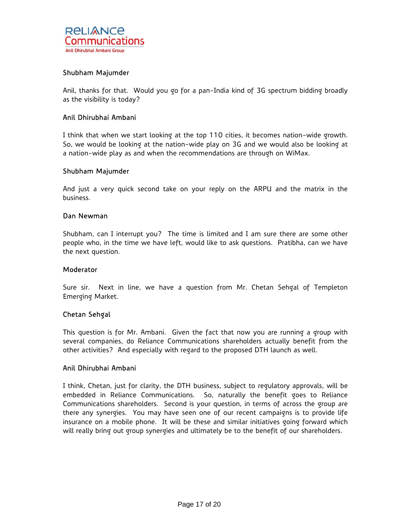

## Shubham Majumder

Anil, thanks for that. Would you go for a pan-India kind of 3G spectrum bidding broadly as the visibility is today?

## Anil Dhirubhai Ambani

I think that when we start looking at the top 110 cities, it becomes nation-wide growth. So, we would be looking at the nation-wide play on 3G and we would also be looking at a nation-wide play as and when the recommendations are through on WiMax.

## Shubham Majumder

And just a very quick second take on your reply on the ARPU and the matrix in the business.

#### Dan Newman

Shubham, can I interrupt you? The time is limited and I am sure there are some other people who, in the time we have left, would like to ask questions. Pratibha, can we have the next question.

#### **Moderator**

Sure sir. Next in line, we have a question from Mr. Chetan Sehgal of Templeton Emerging Market.

## Chetan Sehgal

This question is for Mr. Ambani. Given the fact that now you are running a group with several companies, do Reliance Communications shareholders actually benefit from the other activities? And especially with regard to the proposed DTH launch as well.

#### Anil Dhirubhai Ambani

I think, Chetan, just for clarity, the DTH business, subject to regulatory approvals, will be embedded in Reliance Communications. So, naturally the benefit goes to Reliance Communications shareholders. Second is your question, in terms of across the group are there any synergies. You may have seen one of our recent campaigns is to provide life insurance on a mobile phone. It will be these and similar initiatives going forward which will really bring out group synergies and ultimately be to the benefit of our shareholders.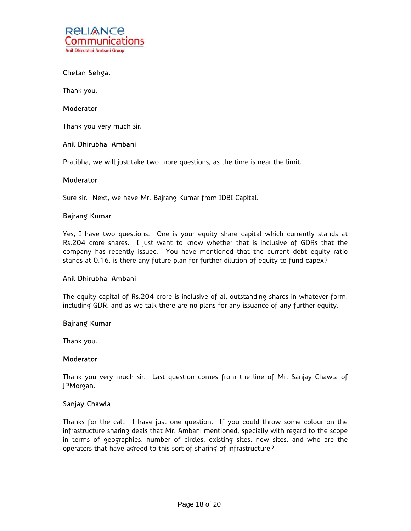

## Chetan Sehgal

Thank you.

#### **Moderator**

Thank you very much sir.

## Anil Dhirubhai Ambani

Pratibha, we will just take two more questions, as the time is near the limit.

#### Moderator

Sure sir. Next, we have Mr. Bajrang Kumar from IDBI Capital.

## Bajrang Kumar

Yes, I have two questions. One is your equity share capital which currently stands at Rs.204 crore shares. I just want to know whether that is inclusive of GDRs that the company has recently issued. You have mentioned that the current debt equity ratio stands at 0.16, is there any future plan for further dilution of equity to fund capex?

## Anil Dhirubhai Ambani

The equity capital of Rs.204 crore is inclusive of all outstanding shares in whatever form, including GDR, and as we talk there are no plans for any issuance of any further equity.

## Bajrang Kumar

Thank you.

#### **Moderator**

Thank you very much sir. Last question comes from the line of Mr. Sanjay Chawla of JPMorgan.

## Sanjay Chawla

Thanks for the call. I have just one question. If you could throw some colour on the infrastructure sharing deals that Mr. Ambani mentioned, specially with regard to the scope in terms of geographies, number of circles, existing sites, new sites, and who are the operators that have agreed to this sort of sharing of infrastructure?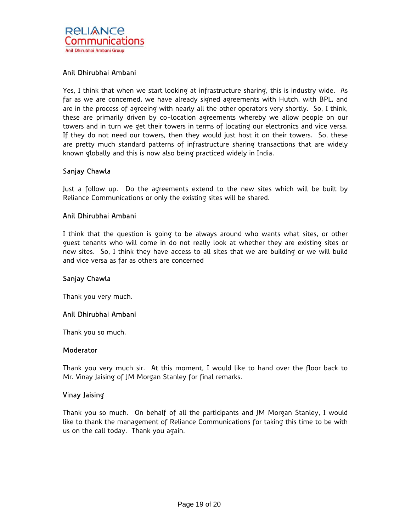## Anil Dhirubhai Ambani

Yes, I think that when we start looking at infrastructure sharing, this is industry wide. As far as we are concerned, we have already signed agreements with Hutch, with BPL, and are in the process of agreeing with nearly all the other operators very shortly. So, I think, these are primarily driven by co-location agreements whereby we allow people on our towers and in turn we get their towers in terms of locating our electronics and vice versa. If they do not need our towers, then they would just host it on their towers. So, these are pretty much standard patterns of infrastructure sharing transactions that are widely known globally and this is now also being practiced widely in India.

## Sanjay Chawla

Just a follow up. Do the agreements extend to the new sites which will be built by Reliance Communications or only the existing sites will be shared.

## Anil Dhirubhai Ambani

I think that the question is going to be always around who wants what sites, or other guest tenants who will come in do not really look at whether they are existing sites or new sites. So, I think they have access to all sites that we are building or we will build and vice versa as far as others are concerned

## Sanjay Chawla

Thank you very much.

## Anil Dhirubhai Ambani

Thank you so much.

#### **Moderator**

Thank you very much sir. At this moment, I would like to hand over the floor back to Mr. Vinay Jaising of JM Morgan Stanley for final remarks.

## Vinay Jaising

Thank you so much. On behalf of all the participants and JM Morgan Stanley, I would like to thank the management of Reliance Communications for taking this time to be with us on the call today. Thank you again.